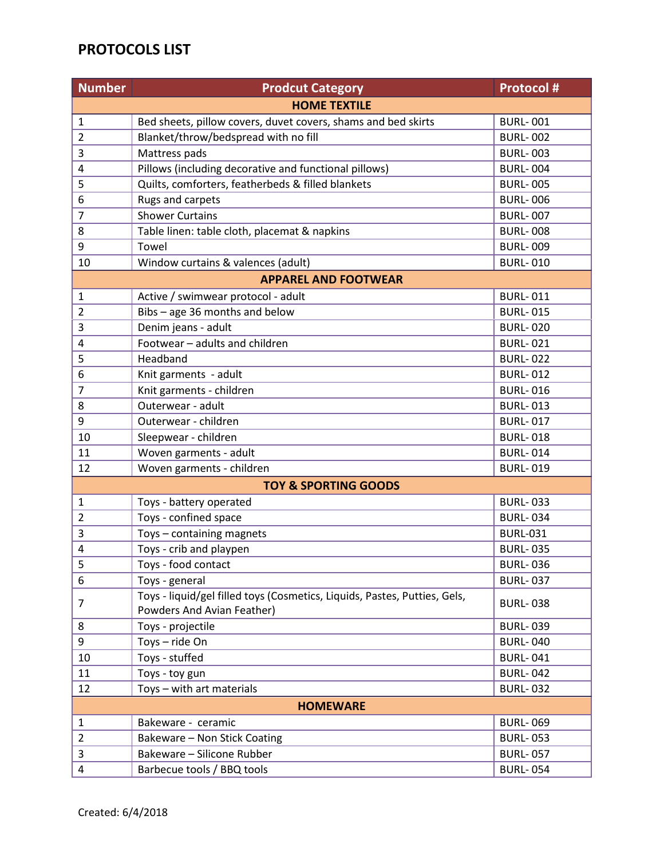## **PROTOCOLS LIST**

| <b>Number</b>                   | <b>Prodcut Category</b>                                                                                 | <b>Protocol #</b> |  |
|---------------------------------|---------------------------------------------------------------------------------------------------------|-------------------|--|
| <b>HOME TEXTILE</b>             |                                                                                                         |                   |  |
| $\mathbf{1}$                    | Bed sheets, pillow covers, duvet covers, shams and bed skirts                                           | <b>BURL-001</b>   |  |
| $\overline{2}$                  | Blanket/throw/bedspread with no fill                                                                    | <b>BURL-002</b>   |  |
| 3                               | Mattress pads                                                                                           | <b>BURL-003</b>   |  |
| 4                               | Pillows (including decorative and functional pillows)                                                   | <b>BURL-004</b>   |  |
| 5                               | Quilts, comforters, featherbeds & filled blankets                                                       | <b>BURL-005</b>   |  |
| 6                               | Rugs and carpets                                                                                        | <b>BURL-006</b>   |  |
| 7                               | <b>Shower Curtains</b>                                                                                  | <b>BURL-007</b>   |  |
| 8                               | Table linen: table cloth, placemat & napkins                                                            | <b>BURL-008</b>   |  |
| 9                               | Towel                                                                                                   | <b>BURL-009</b>   |  |
| 10                              | Window curtains & valences (adult)                                                                      | <b>BURL-010</b>   |  |
| <b>APPAREL AND FOOTWEAR</b>     |                                                                                                         |                   |  |
| 1                               | Active / swimwear protocol - adult                                                                      | <b>BURL-011</b>   |  |
| $\overline{2}$                  | Bibs - age 36 months and below                                                                          | <b>BURL-015</b>   |  |
| 3                               | Denim jeans - adult                                                                                     | <b>BURL-020</b>   |  |
| 4                               | Footwear - adults and children                                                                          | <b>BURL-021</b>   |  |
| 5                               | Headband                                                                                                | <b>BURL-022</b>   |  |
| 6                               | Knit garments - adult                                                                                   | <b>BURL-012</b>   |  |
| $\overline{7}$                  | Knit garments - children                                                                                | <b>BURL-016</b>   |  |
| 8                               | Outerwear - adult                                                                                       | <b>BURL-013</b>   |  |
| 9                               | Outerwear - children                                                                                    | <b>BURL-017</b>   |  |
| 10                              | Sleepwear - children                                                                                    | <b>BURL-018</b>   |  |
| 11                              | Woven garments - adult                                                                                  | <b>BURL-014</b>   |  |
| 12                              | Woven garments - children                                                                               | <b>BURL-019</b>   |  |
| <b>TOY &amp; SPORTING GOODS</b> |                                                                                                         |                   |  |
| $\mathbf 1$                     | Toys - battery operated                                                                                 | <b>BURL-033</b>   |  |
| 2                               | Toys - confined space                                                                                   | <b>BURL-034</b>   |  |
| 3                               | Toys - containing magnets                                                                               | <b>BURL-031</b>   |  |
| 4                               | Toys - crib and playpen                                                                                 | <b>BURL-035</b>   |  |
| 5                               | Toys - food contact                                                                                     | <b>BURL-036</b>   |  |
| 6                               | Toys - general                                                                                          | <b>BURL-037</b>   |  |
| 7                               | Toys - liquid/gel filled toys (Cosmetics, Liquids, Pastes, Putties, Gels,<br>Powders And Avian Feather) | <b>BURL-038</b>   |  |
| 8                               | Toys - projectile                                                                                       | <b>BURL-039</b>   |  |
| 9                               | Toys-ride On                                                                                            | <b>BURL-040</b>   |  |
| 10                              | Toys - stuffed                                                                                          | <b>BURL-041</b>   |  |
| 11                              | Toys - toy gun                                                                                          | <b>BURL-042</b>   |  |
| 12                              | Toys - with art materials                                                                               | <b>BURL-032</b>   |  |
| <b>HOMEWARE</b>                 |                                                                                                         |                   |  |
| $\mathbf{1}$                    | Bakeware - ceramic                                                                                      | <b>BURL-069</b>   |  |
| $\overline{2}$                  | Bakeware - Non Stick Coating                                                                            | <b>BURL-053</b>   |  |
| 3                               | Bakeware - Silicone Rubber                                                                              | <b>BURL-057</b>   |  |
| 4                               | Barbecue tools / BBQ tools                                                                              | <b>BURL-054</b>   |  |